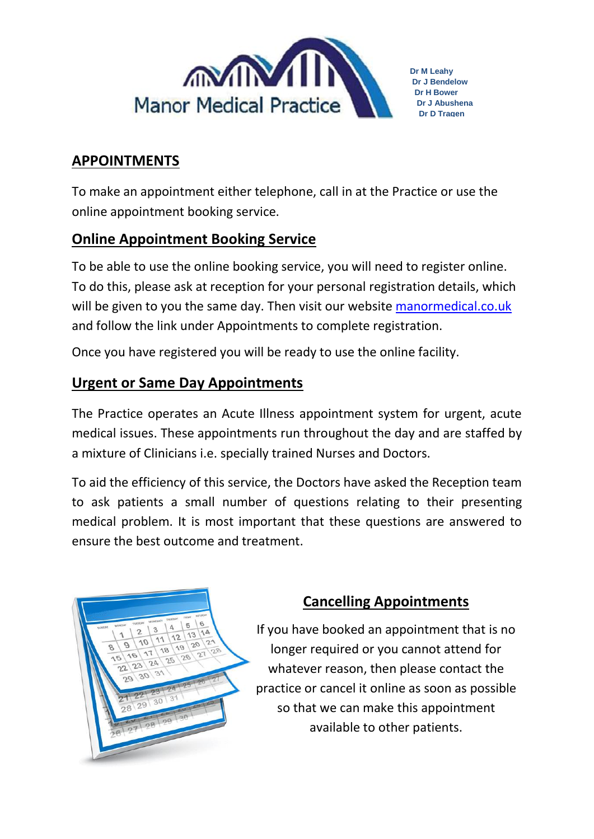

# **APPOINTMENTS**

To make an appointment either telephone, call in at the Practice or use the online appointment booking service.

## **Online Appointment Booking Service**

To be able to use the online booking service, you will need to register online. To do this, please ask at reception for your personal registration details, which will be given to you the same day. Then visit our website manormedical.co.uk and follow the link under Appointments to complete registration.

Once you have registered you will be ready to use the online facility.

## **Urgent or Same Day Appointments**

The Practice operates an Acute Illness appointment system for urgent, acute medical issues. These appointments run throughout the day and are staffed by a mixture of Clinicians i.e. specially trained Nurses and Doctors.

To aid the efficiency of this service, the Doctors have asked the Reception team to ask patients a small number of questions relating to their presenting medical problem. It is most important that these questions are answered to ensure the best outcome and treatment.



## **Cancelling Appointments**

If you have booked an appointment that is no longer required or you cannot attend for whatever reason, then please contact the practice or cancel it online as soon as possible so that we can make this appointment available to other patients.